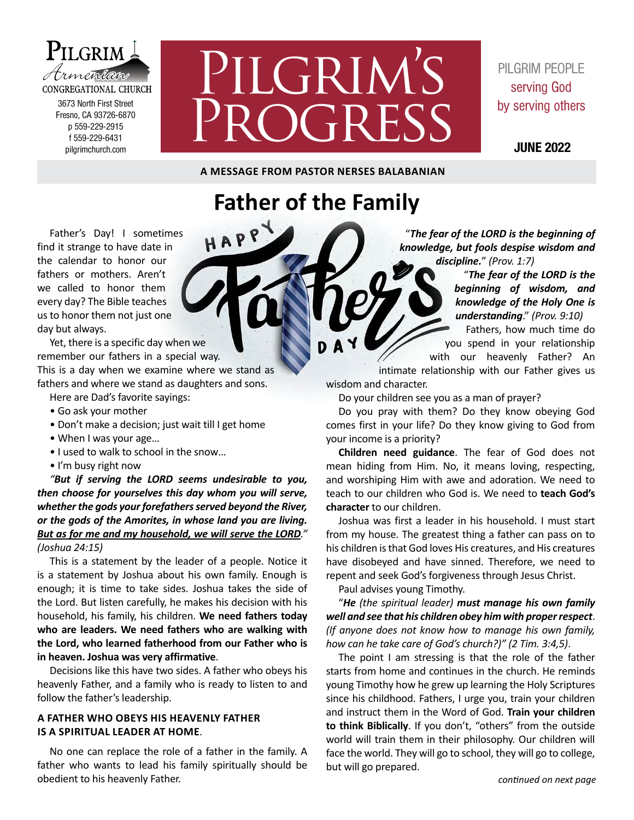

Fresno, CA 93726-6870 p 559-229-2915 f 559-229-6431 pilgrimchurch.com

# PILGRIM'S 3673 North First Street<br>Presno, CA 93726-6870<br>1559-229-2915<br>1559-229-6431

# PILGRIM PEOPLE serving God by serving others

**JUNE 2022**

**A MESSAGE FROM PASTOR NERSES BALABANIAN**

# **Father of the Family**

HAPP

Father's Day! I sometimes find it strange to have date in the calendar to honor our fathers or mothers. Aren't we called to honor them every day? The Bible teaches us to honor them not just one day but always.

Yet, there is a specific day when we remember our fathers in a special way. This is a day when we examine where we stand as fathers and where we stand as daughters and sons.

Here are Dad's favorite sayings:

- Go ask your mother
- Don't make a decision; just wait till I get home
- When I was your age…
- I used to walk to school in the snow…
- I'm busy right now

*"But if serving the LORD seems undesirable to you, then choose for yourselves this day whom you will serve, whether the gods your forefathers served beyond the River, or the gods of the Amorites, in whose land you are living. But as for me and my household, we will serve the LORD." (Joshua 24:15)*

This is a statement by the leader of a people. Notice it is a statement by Joshua about his own family. Enough is enough; it is time to take sides. Joshua takes the side of the Lord. But listen carefully, he makes his decision with his household, his family, his children. **We need fathers today who are leaders. We need fathers who are walking with the Lord, who learned fatherhood from our Father who is in heaven. Joshua was very affirmative**.

Decisions like this have two sides. A father who obeys his heavenly Father, and a family who is ready to listen to and follow the father's leadership.

#### **A FATHER WHO OBEYS HIS HEAVENLY FATHER IS A SPIRITUAL LEADER AT HOME**.

No one can replace the role of a father in the family. A father who wants to lead his family spiritually should be obedient to his heavenly Father.

 "*The fear of the LORD is the beginning of knowledge, but fools despise wisdom and discipline.*" *(Prov. 1:7)*

> "*The fear of the LORD is the beginning of wisdom, and knowledge of the Holy One is understanding*." *(Prov. 9:10)*

Fathers, how much time do you spend in your relationship with our heavenly Father? An

intimate relationship with our Father gives us wisdom and character.

Do your children see you as a man of prayer?

Do you pray with them? Do they know obeying God comes first in your life? Do they know giving to God from your income is a priority?

**Children need guidance**. The fear of God does not mean hiding from Him. No, it means loving, respecting, and worshiping Him with awe and adoration. We need to teach to our children who God is. We need to **teach God's character** to our children.

Joshua was first a leader in his household. I must start from my house. The greatest thing a father can pass on to his children is that God loves His creatures, and His creatures have disobeyed and have sinned. Therefore, we need to repent and seek God's forgiveness through Jesus Christ.

Paul advises young Timothy.

"*He (the spiritual leader) must manage his own family well and see that his children obey him with proper respect*. *(If anyone does not know how to manage his own family, how can he take care of God's church?)" (2 Tim. 3:4,5)*.

The point I am stressing is that the role of the father starts from home and continues in the church. He reminds young Timothy how he grew up learning the Holy Scriptures since his childhood. Fathers, I urge you, train your children and instruct them in the Word of God. **Train your children to think Biblically**. If you don't, "others" from the outside world will train them in their philosophy. Our children will face the world. They will go to school, they will go to college, but will go prepared.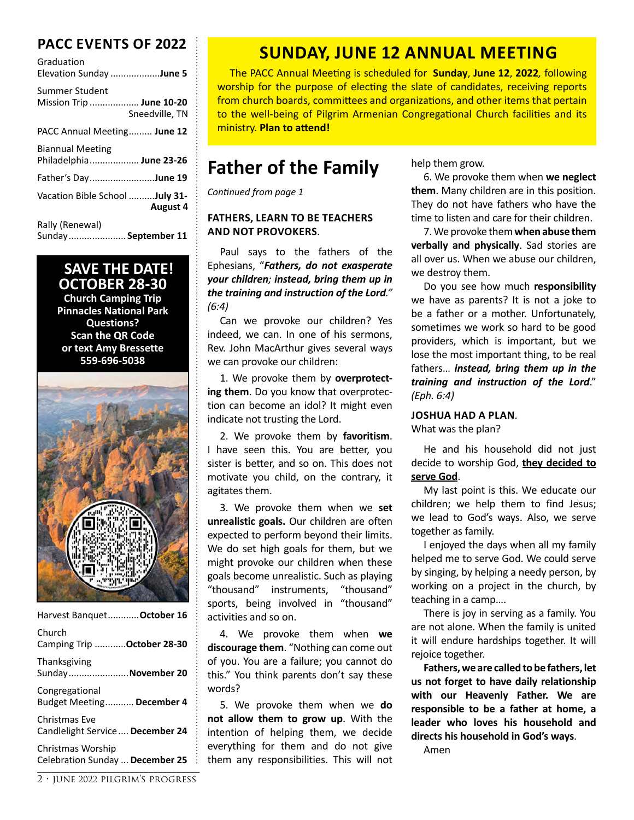### **PACC EVENTS OF 2022**

| Graduation<br>Elevation Sunday June 5                        |
|--------------------------------------------------------------|
| Summer Student<br>Mission Trip  June 10-20<br>Sneedville, TN |
| PACC Annual Meeting June 12                                  |
| <b>Biannual Meeting</b><br>Philadelphia June 23-26           |
| Father's DayJune 19                                          |
| Vacation Bible School July 31-<br><b>August 4</b>            |
| Rally (Renewal)<br>Sunday September 11                       |

**SAVE THE DATE! OCTOBER 28-30 Church Camping Trip Pinnacles National Park Questions? Scan the QR Code or text Amy Bressette 559-696-5038**



| Harvest BanquetOctober 16                            |
|------------------------------------------------------|
| Church<br>Camping Trip October 28-30                 |
| Thanksgiving<br>Sunday November 20                   |
| Congregational<br>Budget Meeting December 4          |
| Christmas Eve<br>Candlelight Service  December 24    |
| Christmas Worship<br>Celebration Sunday  December 25 |

# **SUNDAY, JUNE 12 ANNUAL MEETING**

The PACC Annual Meeting is scheduled for **Sunday**, **June 12**, **2022***,* following worship for the purpose of electing the slate of candidates, receiving reports from church boards, committees and organizations, and other items that pertain to the well-being of Pilgrim Armenian Congregational Church facilities and its ministry. **Plan to attend!**

# **Father of the Family**

*Continued from page 1*

#### **FATHERS, LEARN TO BE TEACHERS AND NOT PROVOKERS**.

Paul says to the fathers of the Ephesians, "*Fathers, do not exasperate your children; instead, bring them up in the training and instruction of the Lord." (6:4)*

Can we provoke our children? Yes indeed, we can. In one of his sermons, Rev. John MacArthur gives several ways we can provoke our children:

1. We provoke them by **overprotecting them**. Do you know that overprotection can become an idol? It might even indicate not trusting the Lord.

2. We provoke them by **favoritism**. I have seen this. You are better, you sister is better, and so on. This does not motivate you child, on the contrary, it agitates them.

3. We provoke them when we **set unrealistic goals.** Our children are often expected to perform beyond their limits. We do set high goals for them, but we might provoke our children when these goals become unrealistic. Such as playing "thousand" instruments, "thousand" sports, being involved in "thousand" activities and so on.

4. We provoke them when **we discourage them**. "Nothing can come out of you. You are a failure; you cannot do this." You think parents don't say these words?

5. We provoke them when we **do not allow them to grow up**. With the intention of helping them, we decide everything for them and do not give them any responsibilities. This will not help them grow.

6. We provoke them when **we neglect them**. Many children are in this position. They do not have fathers who have the time to listen and care for their children.

7. We provoke them **when abuse them verbally and physically**. Sad stories are all over us. When we abuse our children, we destroy them.

Do you see how much **responsibility** we have as parents? It is not a joke to be a father or a mother. Unfortunately, sometimes we work so hard to be good providers, which is important, but we lose the most important thing, to be real fathers… *instead, bring them up in the training and instruction of the Lord*." *(Eph. 6:4)*

**JOSHUA HAD A PLAN**.

What was the plan?

He and his household did not just decide to worship God, **they decided to serve God**.

My last point is this. We educate our children; we help them to find Jesus; we lead to God's ways. Also, we serve together as family.

I enjoyed the days when all my family helped me to serve God. We could serve by singing, by helping a needy person, by working on a project in the church, by teaching in a camp….

There is joy in serving as a family. You are not alone. When the family is united it will endure hardships together. It will rejoice together.

**Fathers, we are called to be fathers, let us not forget to have daily relationship with our Heavenly Father. We are responsible to be a father at home, a leader who loves his household and directs his household in God's ways**.

Amen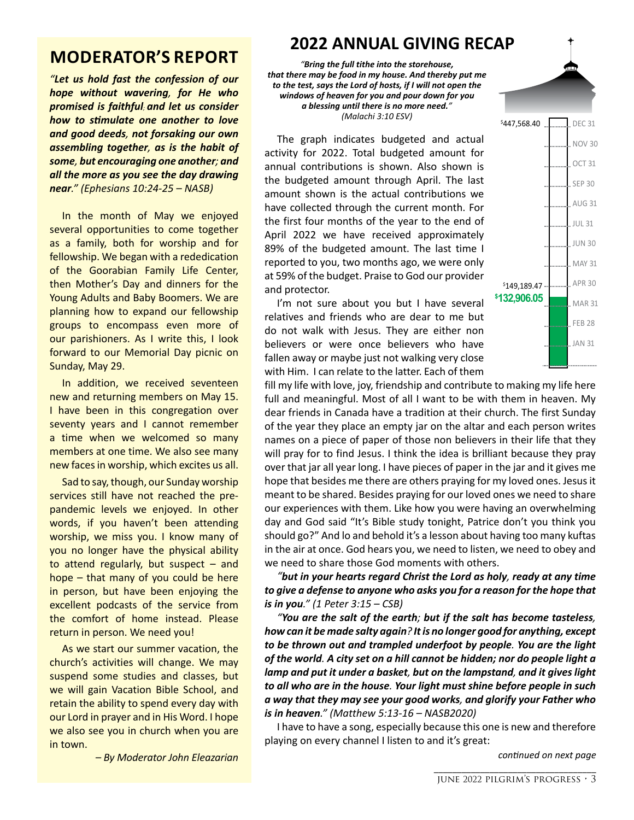## **MODERATOR'S REPORT**

*"Let us hold fast the confession of our hope without wavering, for He who promised is faithful; and let us consider how to stimulate one another to love and good deeds, not forsaking our own assembling together, as is the habit of some, but encouraging one another; and all the more as you see the day drawing near." (Ephesians 10:24-25 – NASB)*

In the month of May we enjoyed several opportunities to come together as a family, both for worship and for fellowship. We began with a rededication of the Goorabian Family Life Center, then Mother's Day and dinners for the Young Adults and Baby Boomers. We are planning how to expand our fellowship groups to encompass even more of our parishioners. As I write this, I look forward to our Memorial Day picnic on Sunday, May 29.

In addition, we received seventeen new and returning members on May 15. I have been in this congregation over seventy years and I cannot remember a time when we welcomed so many members at one time. We also see many new faces in worship, which excites us all.

Sad to say, though, our Sunday worship services still have not reached the prepandemic levels we enjoyed. In other words, if you haven't been attending worship, we miss you. I know many of you no longer have the physical ability to attend regularly, but suspect  $-$  and hope – that many of you could be here in person, but have been enjoying the excellent podcasts of the service from the comfort of home instead. Please return in person. We need you!

As we start our summer vacation, the church's activities will change. We may suspend some studies and classes, but we will gain Vacation Bible School, and retain the ability to spend every day with our Lord in prayer and in His Word. I hope we also see you in church when you are in town.

*– By Moderator John Eleazarian*

# **2022 ANNUAL GIVING RECAP**

*"Bring the full tithe into the storehouse, that there may be food in my house. And thereby put me to the test, says the Lord of hosts, if I will not open the windows of heaven for you and pour down for you a blessing until there is no more need." (Malachi 3:10 ESV)*

The graph indicates budgeted and actual activity for 2022. Total budgeted amount for annual contributions is shown. Also shown is the budgeted amount through April. The last amount shown is the actual contributions we have collected through the current month. For the first four months of the year to the end of April 2022 we have received approximately 89% of the budgeted amount. The last time I reported to you, two months ago, we were only at 59% of the budget. Praise to God our provider and protector.

I'm not sure about you but I have several relatives and friends who are dear to me but do not walk with Jesus. They are either non believers or were once believers who have fallen away or maybe just not walking very close with Him. I can relate to the latter. Each of them



fill my life with love, joy, friendship and contribute to making my life here full and meaningful. Most of all I want to be with them in heaven. My dear friends in Canada have a tradition at their church. The first Sunday of the year they place an empty jar on the altar and each person writes names on a piece of paper of those non believers in their life that they will pray for to find Jesus. I think the idea is brilliant because they pray over that jar all year long. I have pieces of paper in the jar and it gives me hope that besides me there are others praying for my loved ones. Jesus it meant to be shared. Besides praying for our loved ones we need to share our experiences with them. Like how you were having an overwhelming day and God said "It's Bible study tonight, Patrice don't you think you should go?" And lo and behold it's a lesson about having too many kuftas in the air at once. God hears you, we need to listen, we need to obey and we need to share those God moments with others.

*�but in your hearts regard Christ the Lord as holy, ready at any time to give a defense to anyone who asks you for a reason for the hope that is in you." (1 Peter 3:15 – CSB)*

*"You are the salt of the earth; but if the salt has become tasteless, how can it be made salty again? It is no longer good for anything, except to be thrown out and trampled underfoot by people. You are the light of the world. A city set on a hill cannot be hidden; nor do people light a lamp and put it under a basket, but on the lampstand, and it gives light to all who are in the house. Your light must shine before people in such a way that they may see your good works, and glorify your Father who is in heaven." (Matthew 5:13-16 – NASB2020)*

I have to have a song, especially because this one is new and therefore playing on every channel I listen to and it's great:

*continued on next page*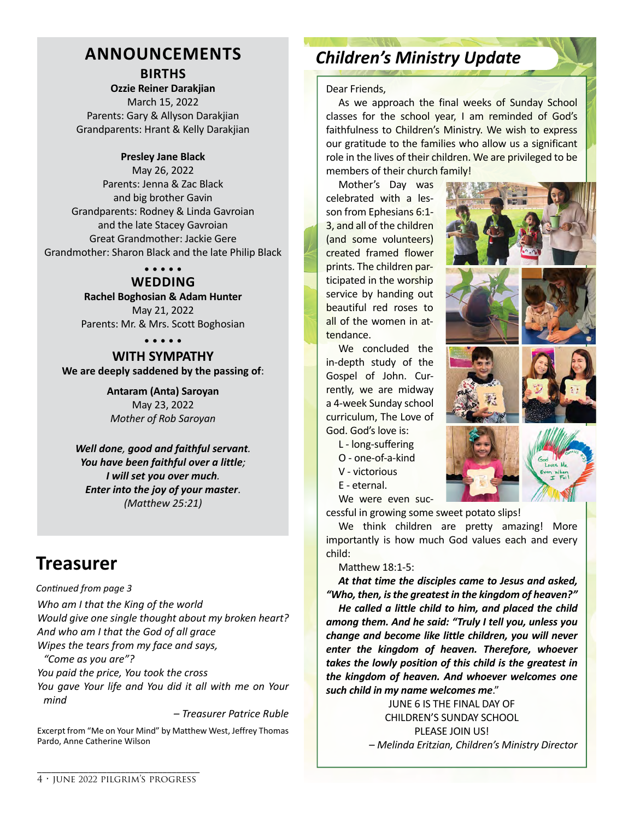# **ANNOUNCEMENTS**

### **BIRTHS**

**Ozzie Reiner Darakjian** March 15, 2022 Parents: Gary & Allyson Darakjian Grandparents: Hrant & Kelly Darakjian

#### **Presley Jane Black**

May 26, 2022 Parents: Jenna & Zac Black and big brother Gavin Grandparents: Rodney & Linda Gavroian and the late Stacey Gavroian Great Grandmother: Jackie Gere Grandmother: Sharon Black and the late Philip Black

#### • • • • •

#### **WEDDING**

**Rachel Boghosian & Adam Hunter** May 21, 2022 Parents: Mr. & Mrs. Scott Boghosian

# • • • • •

### **WITH SYMPATHY**

**We are deeply saddened by the passing of**:

**Antaram (Anta) Saroyan**  May 23, 2022 *Mother of Rob Saroyan*

*Well done, good and faithful servant. You have been faithful over a little; I will set you over much. Enter into the joy of your master*. *(Matthew 25:21)*

# **Treasurer**

*Continued from page 3*

*Who am I that the King of the world Would give one single thought about my broken heart? And who am I that the God of all grace Wipes the tears from my face and says, "Come as you are"? You paid the price, You took the cross*

*You gave Your life and You did it all with me on Your mind*

#### *– Treasurer Patrice Ruble*

Excerpt from "Me on Your Mind" by Matthew West, Jeffrey Thomas Pardo, Anne Catherine Wilson

# *Children's Ministry Update*

#### Dear Friends,

As we approach the final weeks of Sunday School classes for the school year, I am reminded of God's faithfulness to Children's Ministry. We wish to express our gratitude to the families who allow us a significant role in the lives of their children. We are privileged to be members of their church family!

Mother's Day was celebrated with a lesson from Ephesians 6:1- 3, and all of the children (and some volunteers) created framed flower prints. The children participated in the worship service by handing out beautiful red roses to all of the women in attendance.

We concluded the in-depth study of the Gospel of John. Currently, we are midway a 4-week Sunday school curriculum, The Love of God. God's love is:

- L long-suffering
- O one-of-a-kind
- V victorious
- E eternal.

We were even suc-

cessful in growing some sweet potato slips!

We think children are pretty amazing! More importantly is how much God values each and every child:

Matthew 18:1-5:

*At that time the disciples came to Jesus and asked, "Who, then, is the greatest in the kingdom of heaven?"*

*He called a little child to him, and placed the child among them. And he said: "Truly I tell you, unless you change and become like little children, you will never enter the kingdom of heaven. Therefore, whoever takes the lowly position of this child is the greatest in the kingdom of heaven. And whoever welcomes one such child in my name welcomes me*."

> JUNE 6 IS THE FINAL DAY OF CHILDREN'S SUNDAY SCHOOL PLEASE JOIN US! – *Melinda Eritzian, Children's Ministry Director*



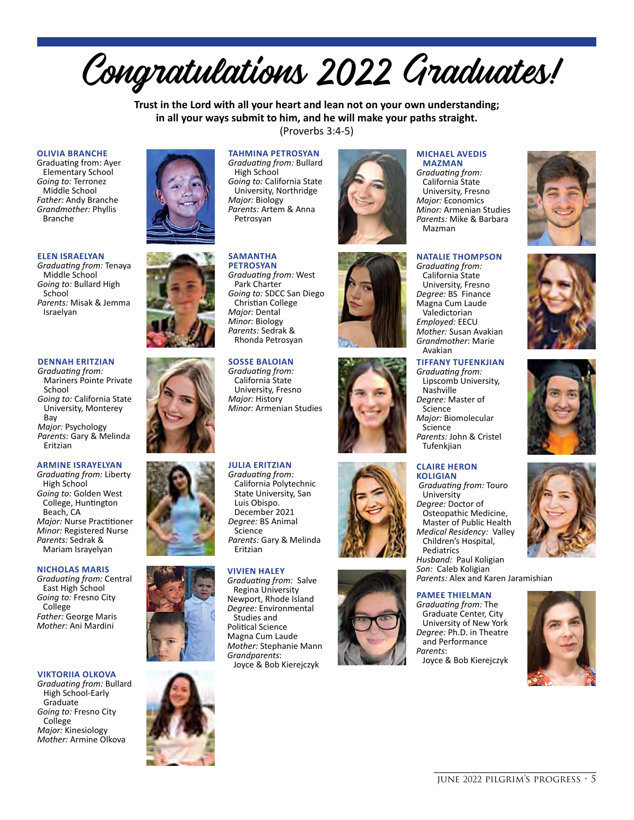# Congratulations 2022 Graduates!

**Trust in the Lord with all your heart and lean not on your own understanding; in all your ways submit to him, and he will make your paths straight.**  (Proverbs 3:4-5)

#### **OLIVIA BRANCHE**

Graduating from: Ayer Elementary School *Going to:* Terronez Middle School *Father:* Andy Branche *Grandmother:* Phyllis Branche

#### **ELEN ISRAELYAN**

*Graduating from:* Tenaya Middle School *Going to:* Bullard High School *Parents:* Misak & Jemma Israelyan

#### **DENNAH ERITZIAN**

*Graduating from:*  Mariners Pointe Private School *Going to:* California State University, Monterey Bay *Major:* Psychology *Parents:* Gary & Melinda Eritzian

#### **ARMINE ISRAYELYAN**

*Graduating from:* Liberty High School *Going to:* Golden West College, Huntington Beach, CA *Major:* Nurse Practitioner *Minor:* Registered Nurse *Parents:* Sedrak & Mariam Israyelyan

#### **NICHOLAS MARIS**

*Graduating from:* Central East High School *Going to:* Fresno City College *Father:* George Maris *Mother:* Ani Mardini

#### **VIKTORIIA OLKOVA**

*Graduating from:* Bullard High School-Early **Graduate** *Going to:* Fresno City College *Major:* Kinesiology *Mother:* Armine Olkova



**TAHMINA PETROSYAN** *Graduating from:* Bullard High School *Going to:* California State University, Northridge *Major:* Biology *Parents:* Artem & Anna Petrosyan

#### **SAMANTHA PETROSYAN**

*Graduating from:* West Park Charter *Going to:* SDCC San Diego Christian College *Major:* Dental *Minor:* Biology Rhonda Petrosyan

California State University, Fresno *Minor:* Armenian Studies











#### **MICHAEL AVEDIS MAZMAN**

*Graduating from:*  California State University, Fresno *Major:* Economics *Minor:* Armenian Studies *Parents:* Mike & Barbara Mazman

#### **NATALIE THOMPSON**

*Graduating from:*  California State University, Fresno *Degree:* BS Finance Magna Cum Laude Valedictorian *Employed:* EECU *Mother:* Susan Avakian *Grandmother*: Marie Avakian

#### **TIFFANY TUFENKJIAN**

*Graduating from:*  Lipscomb University, Nashville *Degree:* Master of Science

- *Major:* Biomolecular Science
- *Parents:* John & Cristel Tufenkjian

#### **CLAIRE HERON KOLIGIAN**

*Graduating from:* Touro University *Degree:* Doctor of Osteopathic Medicine, Master of Public Health *Medical Residency:* Valley Children's Hospital, Pediatrics *Husband:* Paul Koligian *Son:* Caleb Koligian *Parents:* Alex and Karen Jaramishian

#### **PAMEE THIELMAN**

*Graduating from:* The Graduate Center, City University of New York *Degree:* Ph.D. in Theatre and Performance *Parents*:















**JULIA ERITZIAN** *Graduating from:* California Polytechnic State University, San Luis Obispo. December 2021 *Degree:* BS Animal **Science** 

*Parents:* Gary & Melinda

Eritzian

**VIVIEN HALEY** *Graduating from:* Salve Regina University Newport, Rhode Island *Degree:* Environmental Studies and Political Science Magna Cum Laude *Mother:* Stephanie Mann

*Grandparents*:

Joyce & Bob Kierejczyk





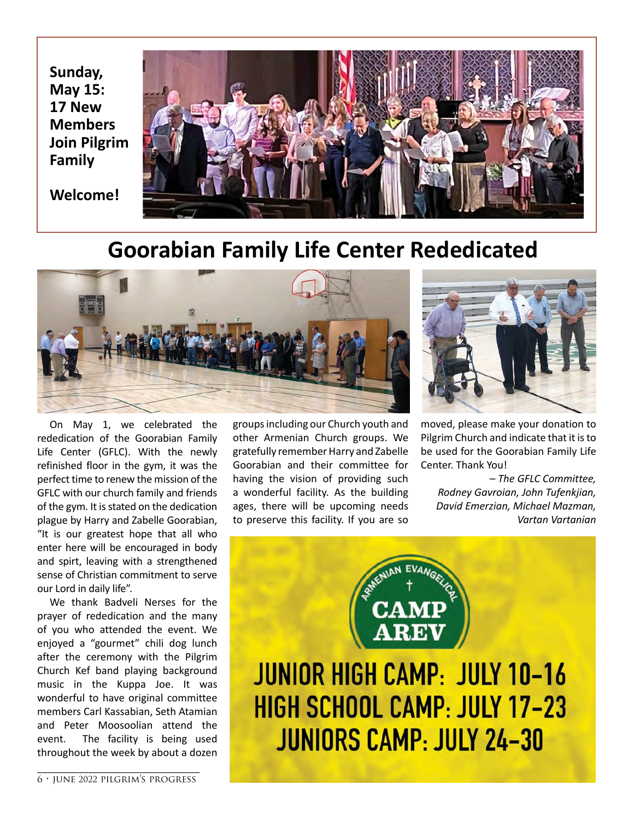**Sunday, May 15: 17 New Members Join Pilgrim Family**

**Welcome!**



# **Goorabian Family Life Center Rededicated**



On May 1, we celebrated the rededication of the Goorabian Family Life Center (GFLC). With the newly refinished floor in the gym, it was the perfect time to renew the mission of the GFLC with our church family and friends of the gym. It is stated on the dedication plague by Harry and Zabelle Goorabian, "It is our greatest hope that all who enter here will be encouraged in body and spirt, leaving with a strengthened sense of Christian commitment to serve our Lord in daily life".

We thank Badveli Nerses for the prayer of rededication and the many of you who attended the event. We enjoyed a "gourmet" chili dog lunch after the ceremony with the Pilgrim Church Kef band playing background music in the Kuppa Joe. It was wonderful to have original committee members Carl Kassabian, Seth Atamian and Peter Moosoolian attend the event. The facility is being used throughout the week by about a dozen

groups including our Church youth and other Armenian Church groups. We gratefully remember Harry and Zabelle Goorabian and their committee for having the vision of providing such a wonderful facility. As the building ages, there will be upcoming needs to preserve this facility. If you are so



moved, please make your donation to Pilgrim Church and indicate that it is to be used for the Goorabian Family Life Center. Thank You!

*– The GFLC Committee, Rodney Gavroian, John Tufenkjian, David Emerzian, Michael Mazman, Vartan Vartanian*

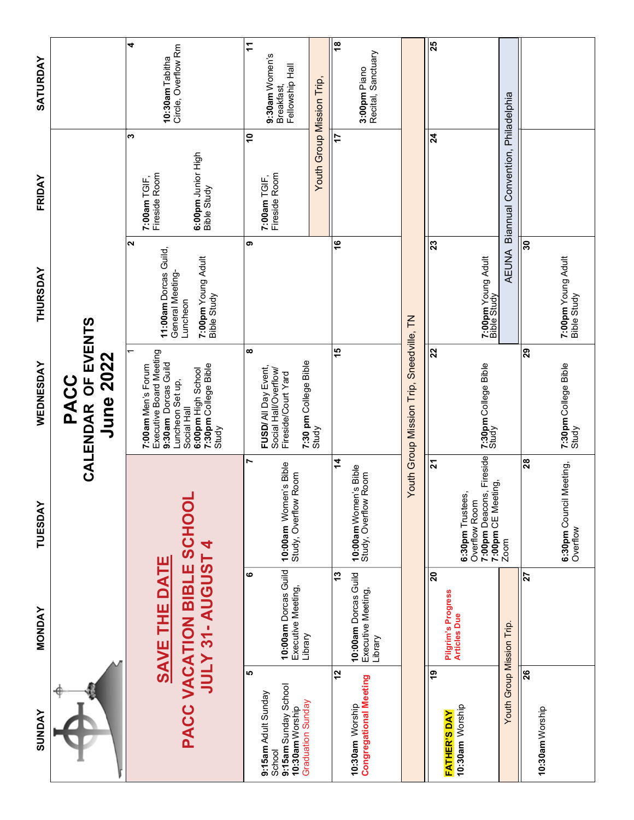| <b>SUNDAY</b>                                                                                       | <b>MONDAY</b>                                                         | <b>TUESDAY</b>                                                                                         | WEDNESDAY                                                                                                                                                      | THURSDAY                                                                                        | FRIDAY                                                                   | <b>SATURDAY</b>                                                   |
|-----------------------------------------------------------------------------------------------------|-----------------------------------------------------------------------|--------------------------------------------------------------------------------------------------------|----------------------------------------------------------------------------------------------------------------------------------------------------------------|-------------------------------------------------------------------------------------------------|--------------------------------------------------------------------------|-------------------------------------------------------------------|
| -0                                                                                                  |                                                                       |                                                                                                        | CALENDAR OF EVENTS<br>June 2022<br>PACC                                                                                                                        |                                                                                                 |                                                                          |                                                                   |
|                                                                                                     | PACC VACATION BIBLE SCHOO<br>JULY 31-AUGUST 4<br><b>SAVE THE DATE</b> |                                                                                                        | Executive Board Meeting<br>9:30am Dorcas Guild<br>7:30pm College Bible<br>7:00am Men's Forum<br>6:00pm High School<br>Luncheon Set up,<br>Social Hall<br>Study | 2<br>11:00am Dorcas Guild,<br>7:00pm Young Adult<br>General Meeting-<br>Bible Study<br>Luncheon | S<br>6:00pm Junior High<br>Fireside Room<br>7:00 am TGIF,<br>Bible Study | 4<br>Circle, Overflow Rm<br>10:30am Tabitha                       |
| LO<br>9:15am Sunday School<br>9:15am Adult Sunday<br>Graduation Sunday<br>10:30am Worship<br>School | 10:00am Dorcas Guild<br>ဖ<br>Executive Meeting,<br>Library            | r<br>10:00am Women's Bible<br>Study, Overflow Room                                                     | ∞<br>7:30 pm College Bible<br>FUSD/All Day Event,<br>Social Hall/Overflow/<br>Fireside/Court Yard<br>Study                                                     | თ                                                                                               | $\ddot{ }$<br>Fireside Room<br>7:00am TGIF,                              | $\overline{r}$<br>9:30am Women's<br>Fellowship Hall<br>Breakfast, |
| $\overline{12}$<br><b>Congregational Meeting</b><br>10:30am Worship                                 | 13<br>10:00am Dorcas Guild<br>Executive Meeting,<br>Library           | 4<br>10:00am Women's Bible<br>Study, Overflow Room                                                     | 15                                                                                                                                                             | 9                                                                                               | Youth Group Mission Trip,<br>17                                          | $\overline{18}$<br>Recital, Sanctuary<br>3:00pm Piano             |
|                                                                                                     |                                                                       |                                                                                                        | Youth Group Mission Trip, Sneedville, TN                                                                                                                       |                                                                                                 |                                                                          |                                                                   |
| စ္<br>10:30am Worship<br><b>FATHER'S DAY</b>                                                        | $\mathbf{S}$<br>Pilgrim's Progress<br><b>Articles Due</b>             | 7:00pm Deacons, Fireside<br>$\overline{21}$<br>7:00pm CE Meeting,<br>6:30pm Trustees,<br>Overflow Room | 22<br>7:30pm College Bible<br>Study                                                                                                                            | 23<br>7:00pm Young Adult<br>Bible Study                                                         | $\overline{a}$                                                           | 25                                                                |
| Youth Group Mission Trip.                                                                           |                                                                       | Zoom                                                                                                   |                                                                                                                                                                | AEUNA                                                                                           | Biannual Convention, Philadelphia                                        |                                                                   |
| 26<br>10:30am Worship                                                                               | 27                                                                    | 28<br>Meeting,<br>6:30pm Council<br>Overflow                                                           | 29<br><b>7:30pm</b> College Bible<br>Study                                                                                                                     | 30<br>7:00pm Young Adult<br>Bible Study                                                         |                                                                          |                                                                   |
|                                                                                                     |                                                                       |                                                                                                        |                                                                                                                                                                |                                                                                                 |                                                                          |                                                                   |